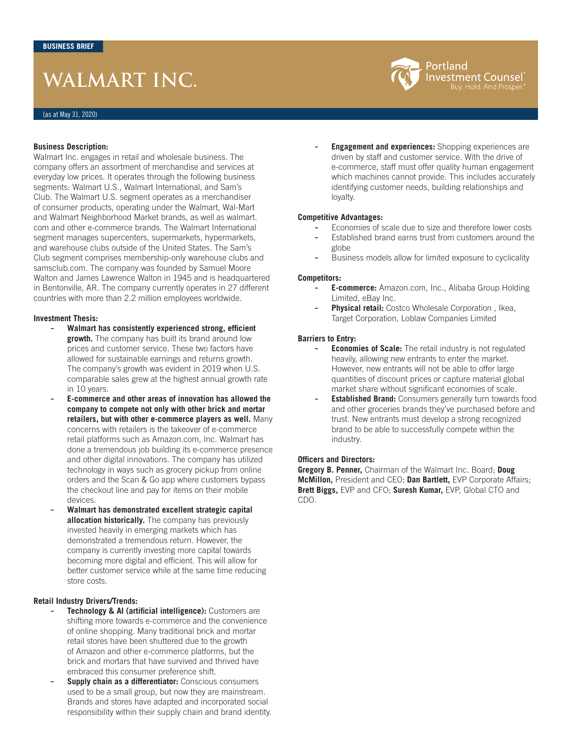# **WALMART INC.**

## **Business Description:**

Walmart Inc. engages in retail and wholesale business. The company offers an assortment of merchandise and services at everyday low prices. It operates through the following business segments: Walmart U.S., Walmart International, and Sam's Club. The Walmart U.S. segment operates as a merchandiser of consumer products, operating under the Walmart, Wal-Mart and Walmart Neighborhood Market brands, as well as walmart. com and other e-commerce brands. The Walmart International segment manages supercenters, supermarkets, hypermarkets, and warehouse clubs outside of the United States. The Sam's Club segment comprises membership-only warehouse clubs and samsclub.com. The company was founded by Samuel Moore Walton and James Lawrence Walton in 1945 and is headquartered in Bentonville, AR. The company currently operates in 27 different countries with more than 2.2 million employees worldwide.

#### **Investment Thesis:**

- **Walmart has consistently experienced strong, efficient growth.** The company has built its brand around low prices and customer service. These two factors have allowed for sustainable earnings and returns growth. The company's growth was evident in 2019 when U.S. comparable sales grew at the highest annual growth rate in 10 years.
- **E-commerce and other areas of innovation has allowed the company to compete not only with other brick and mortar retailers, but with other e-commerce players as well.** Many concerns with retailers is the takeover of e-commerce retail platforms such as Amazon.com, Inc. Walmart has done a tremendous job building its e-commerce presence and other digital innovations. The company has utilized technology in ways such as grocery pickup from online orders and the Scan & Go app where customers bypass the checkout line and pay for items on their mobile devices.
- **Walmart has demonstrated excellent strategic capital allocation historically.** The company has previously invested heavily in emerging markets which has demonstrated a tremendous return. However, the company is currently investing more capital towards becoming more digital and efficient. This will allow for better customer service while at the same time reducing store costs.

# **Retail Industry Drivers/Trends:**

- **Technology & AI (artificial intelligence):** Customers are shifting more towards e-commerce and the convenience of online shopping. Many traditional brick and mortar retail stores have been shuttered due to the growth of Amazon and other e-commerce platforms, but the brick and mortars that have survived and thrived have embraced this consumer preference shift.
- **Supply chain as a differentiator:** Conscious consumers used to be a small group, but now they are mainstream. Brands and stores have adapted and incorporated social responsibility within their supply chain and brand identity.

**Engagement and experiences:** Shopping experiences are driven by staff and customer service. With the drive of e-commerce, staff must offer quality human engagement which machines cannot provide. This includes accurately identifying customer needs, building relationships and loyalty.

### **Competitive Advantages:**

- Economies of scale due to size and therefore lower costs
- Established brand earns trust from customers around the globe
- Business models allow for limited exposure to cyclicality

#### **Competitors:**

- **E-commerce:** Amazon.com, Inc., Alibaba Group Holding Limited, eBay Inc.
- **Physical retail:** Costco Wholesale Corporation , Ikea, Target Corporation, Loblaw Companies Limited

# **Barriers to Entry:**

- **Economies of Scale:** The retail industry is not regulated heavily, allowing new entrants to enter the market. However, new entrants will not be able to offer large quantities of discount prices or capture material global market share without significant economies of scale.
- **Established Brand:** Consumers generally turn towards food and other groceries brands they've purchased before and trust. New entrants must develop a strong recognized brand to be able to successfully compete within the industry.

# **Officers and Directors:**

**Gregory B. Penner,** Chairman of the Walmart Inc. Board; **Doug McMillon,** President and CEO; **Dan Bartlett,** EVP Corporate Affairs; **Brett Biggs,** EVP and CFO; **Suresh Kumar,** EVP, Global CTO and CDO.